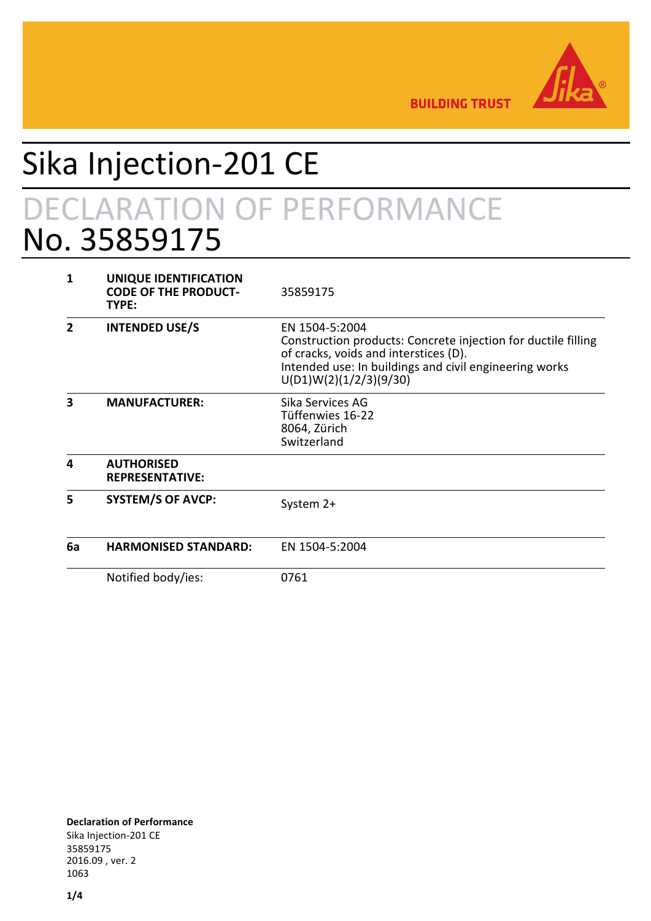

**BUILDING TRUST** 

# Sika Injection-201 CE DECLARATION OF PERFORMANCE No. 35859175

| 1  | UNIQUE IDENTIFICATION<br><b>CODE OF THE PRODUCT-</b><br>TYPE: | 35859175                                                                                                                                                                                                     |
|----|---------------------------------------------------------------|--------------------------------------------------------------------------------------------------------------------------------------------------------------------------------------------------------------|
| 2  | <b>INTENDED USE/S</b>                                         | EN 1504-5:2004<br>Construction products: Concrete injection for ductile filling<br>of cracks, voids and interstices (D).<br>Intended use: In buildings and civil engineering works<br>U(D1)W(2)(1/2/3)(9/30) |
| 3  | <b>MANUFACTURER:</b>                                          | Sika Services AG<br>Tüffenwies 16-22<br>8064, Zürich<br>Switzerland                                                                                                                                          |
| 4  | <b>AUTHORISED</b><br><b>REPRESENTATIVE:</b>                   |                                                                                                                                                                                                              |
| 5  | <b>SYSTEM/S OF AVCP:</b>                                      | System 2+                                                                                                                                                                                                    |
| 6a | <b>HARMONISED STANDARD:</b>                                   | EN 1504-5:2004                                                                                                                                                                                               |
|    | Notified body/ies:                                            | 0761                                                                                                                                                                                                         |

**Declaration of Performance** Sika Injection-201 CE 35859175 2016.09 , ver. 2 1063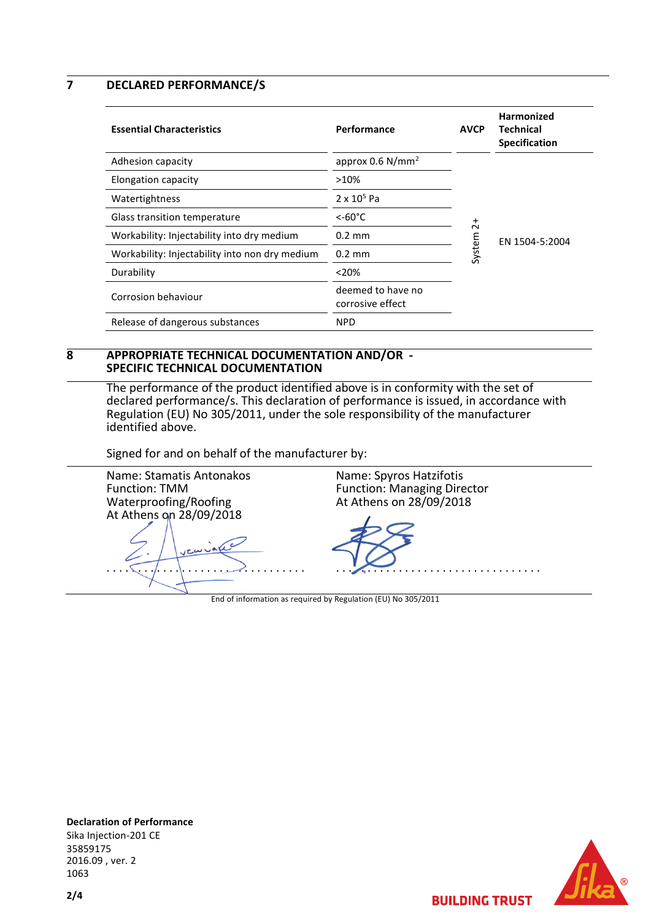**7 DECLARED PERFORMANCE/S**

| <b>Essential Characteristics</b>               | Performance                           | <b>AVCP</b> | <b>Harmonized</b><br>Technical<br><b>Specification</b> |
|------------------------------------------------|---------------------------------------|-------------|--------------------------------------------------------|
| Adhesion capacity                              | approx $0.6$ N/mm <sup>2</sup>        |             |                                                        |
| Elongation capacity                            | $>10\%$                               |             |                                                        |
| Watertightness                                 | $2 \times 10^5$ Pa                    |             |                                                        |
| Glass transition temperature                   | $<$ -60°C                             | $\vec{c}$   |                                                        |
| Workability: Injectability into dry medium     | $0.2 \text{ mm}$                      |             | EN 1504-5:2004                                         |
| Workability: Injectability into non dry medium | $0.2 \text{ mm}$                      | System      |                                                        |
| Durability                                     | $<$ 20%                               |             |                                                        |
| Corrosion behaviour                            | deemed to have no<br>corrosive effect |             |                                                        |
| Release of dangerous substances                | <b>NPD</b>                            |             |                                                        |

#### **8 APPROPRIATE TECHNICAL DOCUMENTATION AND/OR - SPECIFIC TECHNICAL DOCUMENTATION**

The performance of the product identified above is in conformity with the set of declared performance/s. This declaration of performance is issued, in accordance with Regulation (EU) No 305/2011, under the sole responsibility of the manufacturer identified above.

Signed for and on behalf of the manufacturer by:

| Name: Spyros Hatzifotis<br><b>Function: Managing Director</b><br>At Athens on 28/09/2018 |
|------------------------------------------------------------------------------------------|
|                                                                                          |
|                                                                                          |

End of information as required by Regulation (EU) No 305/2011



**BUILDING TRUST** 

**Declaration of Performance** Sika Injection-201 CE 35859175 2016.09 , ver. 2 1063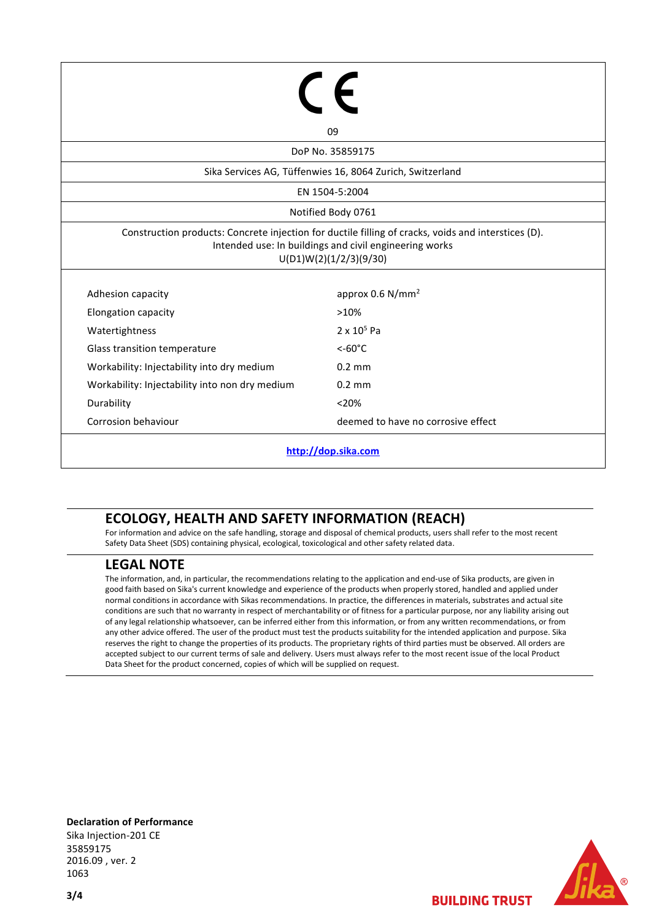|                                                | 09                                                                                                                                                                                      |
|------------------------------------------------|-----------------------------------------------------------------------------------------------------------------------------------------------------------------------------------------|
|                                                | DoP No. 35859175                                                                                                                                                                        |
|                                                | Sika Services AG, Tüffenwies 16, 8064 Zurich, Switzerland                                                                                                                               |
|                                                | EN 1504-5:2004                                                                                                                                                                          |
|                                                | Notified Body 0761                                                                                                                                                                      |
|                                                | Construction products: Concrete injection for ductile filling of cracks, voids and interstices (D).<br>Intended use: In buildings and civil engineering works<br>U(D1)W(2)(1/2/3)(9/30) |
|                                                |                                                                                                                                                                                         |
| Adhesion capacity                              | approx 0.6 N/mm <sup>2</sup>                                                                                                                                                            |
| Elongation capacity                            | >10%                                                                                                                                                                                    |
| Watertightness                                 | $2 \times 10^5$ Pa                                                                                                                                                                      |
| Glass transition temperature                   | $<-60°C$                                                                                                                                                                                |
| Workability: Injectability into dry medium     | $0.2 \text{ mm}$                                                                                                                                                                        |
| Workability: Injectability into non dry medium | $0.2 \text{ mm}$                                                                                                                                                                        |
| Durability                                     | < 20%                                                                                                                                                                                   |

## **ECOLOGY, HEALTH AND SAFETY INFORMATION (REACH)**

For information and advice on the safe handling, storage and disposal of chemical products, users shall refer to the most recent Safety Data Sheet (SDS) containing physical, ecological, toxicological and other safety related data.

### **LEGAL NOTE**

The information, and, in particular, the recommendations relating to the application and end-use of Sika products, are given in good faith based on Sika's current knowledge and experience of the products when properly stored, handled and applied under normal conditions in accordance with Sikas recommendations. In practice, the differences in materials, substrates and actual site conditions are such that no warranty in respect of merchantability or of fitness for a particular purpose, nor any liability arising out of any legal relationship whatsoever, can be inferred either from this information, or from any written recommendations, or from any other advice offered. The user of the product must test the products suitability for the intended application and purpose. Sika reserves the right to change the properties of its products. The proprietary rights of third parties must be observed. All orders are accepted subject to our current terms of sale and delivery. Users must always refer to the most recent issue of the local Product Data Sheet for the product concerned, copies of which will be supplied on request.

**Declaration of Performance** Sika Injection-201 CE 35859175 2016.09 , ver. 2 1063

**BUILDING TRUST**